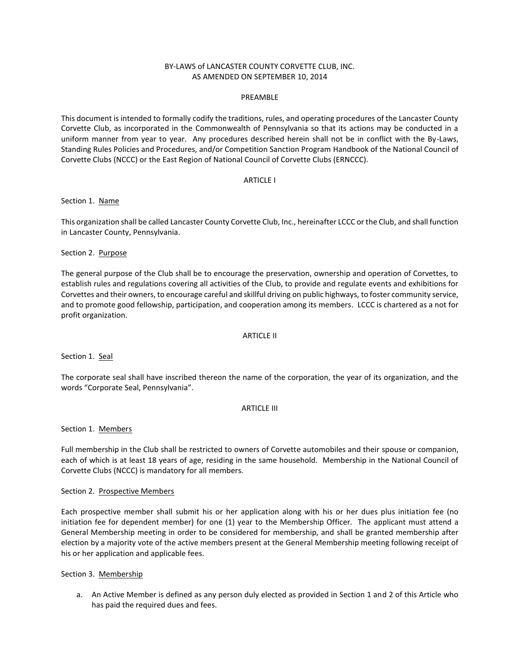# BY-LAWS of LANCASTER COUNTY CORVETTE CLUB, INC. AS AMENDED ON SEPTEMBER 10, 2014

### PREAMBLE

This document is intended to formally codify the traditions, rules, and operating procedures of the Lancaster County Corvette Club, as incorporated in the Commonwealth of Pennsylvania so that its actions may be conducted in a uniform manner from year to year. Any procedures described herein shall not be in conflict with the By-Laws, Standing Rules Policies and Procedures, and/or Competition Sanction Program Handbook of the National Council of Corvette Clubs (NCCC) or the East Region of National Council of Corvette Clubs (ERNCCC).

### ARTICLE I

### Section 1. Name

This organization shall be called Lancaster County Corvette Club, Inc., hereinafter LCCC or the Club, and shall function in Lancaster County, Pennsylvania.

Section 2. Purpose

The general purpose of the Club shall be to encourage the preservation, ownership and operation of Corvettes, to establish rules and regulations covering all activities of the Club, to provide and regulate events and exhibitions for Corvettes and their owners, to encourage careful and skillful driving on public highways, to foster community service, and to promote good fellowship, participation, and cooperation among its members. LCCC is chartered as a not for profit organization.

### ARTICLE II

Section 1. Seal

The corporate seal shall have inscribed thereon the name of the corporation, the year of its organization, and the words "Corporate Seal, Pennsylvania".

### ARTICLE III

Section 1. Members

Full membership in the Club shall be restricted to owners of Corvette automobiles and their spouse or companion, each of which is at least 18 years of age, residing in the same household. Membership in the National Council of Corvette Clubs (NCCC) is mandatory for all members.

### Section 2. Prospective Members

Each prospective member shall submit his or her application along with his or her dues plus initiation fee (no initiation fee for dependent member) for one (1) year to the Membership Officer. The applicant must attend a General Membership meeting in order to be considered for membership, and shall be granted membership after election by a majority vote of the active members present at the General Membership meeting following receipt of his or her application and applicable fees.

Section 3. Membership

a. An Active Member is defined as any person duly elected as provided in Section 1 and 2 of this Article who has paid the required dues and fees.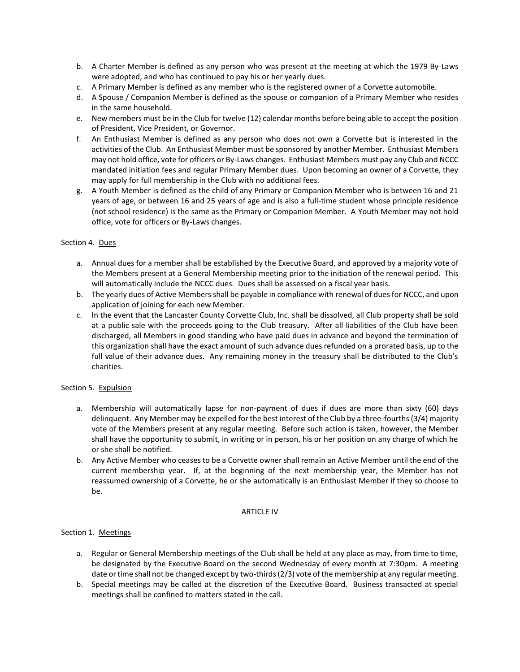- b. A Charter Member is defined as any person who was present at the meeting at which the 1979 By-Laws were adopted, and who has continued to pay his or her yearly dues.
- c. A Primary Member is defined as any member who is the registered owner of a Corvette automobile.
- d. A Spouse / Companion Member is defined as the spouse or companion of a Primary Member who resides in the same household.
- e. New members must be in the Club for twelve (12) calendar months before being able to accept the position of President, Vice President, or Governor.
- f. An Enthusiast Member is defined as any person who does not own a Corvette but is interested in the activities of the Club. An Enthusiast Member must be sponsored by another Member. Enthusiast Members may not hold office, vote for officers or By-Laws changes. Enthusiast Members must pay any Club and NCCC mandated initiation fees and regular Primary Member dues. Upon becoming an owner of a Corvette, they may apply for full membership in the Club with no additional fees.
- g. A Youth Member is defined as the child of any Primary or Companion Member who is between 16 and 21 years of age, or between 16 and 25 years of age and is also a full-time student whose principle residence (not school residence) is the same as the Primary or Companion Member. A Youth Member may not hold office, vote for officers or By-Laws changes.

# Section 4. Dues

- a. Annual dues for a member shall be established by the Executive Board, and approved by a majority vote of the Members present at a General Membership meeting prior to the initiation of the renewal period. This will automatically include the NCCC dues. Dues shall be assessed on a fiscal year basis.
- b. The yearly dues of Active Members shall be payable in compliance with renewal of dues for NCCC, and upon application of joining for each new Member.
- c. In the event that the Lancaster County Corvette Club, Inc. shall be dissolved, all Club property shall be sold at a public sale with the proceeds going to the Club treasury. After all liabilities of the Club have been discharged, all Members in good standing who have paid dues in advance and beyond the termination of this organization shall have the exact amount of such advance dues refunded on a prorated basis, up to the full value of their advance dues. Any remaining money in the treasury shall be distributed to the Club's charities.

### Section 5. Expulsion

- a. Membership will automatically lapse for non-payment of dues if dues are more than sixty (60) days delinquent. Any Member may be expelled for the best interest of the Club by a three-fourths (3/4) majority vote of the Members present at any regular meeting. Before such action is taken, however, the Member shall have the opportunity to submit, in writing or in person, his or her position on any charge of which he or she shall be notified.
- b. Any Active Member who ceases to be a Corvette owner shall remain an Active Member until the end of the current membership year. If, at the beginning of the next membership year, the Member has not reassumed ownership of a Corvette, he or she automatically is an Enthusiast Member if they so choose to be.

### ARTICLE IV

### Section 1. Meetings

- a. Regular or General Membership meetings of the Club shall be held at any place as may, from time to time, be designated by the Executive Board on the second Wednesday of every month at 7:30pm. A meeting date or time shall not be changed except by two-thirds (2/3) vote of the membership at any regular meeting.
- b. Special meetings may be called at the discretion of the Executive Board. Business transacted at special meetings shall be confined to matters stated in the call.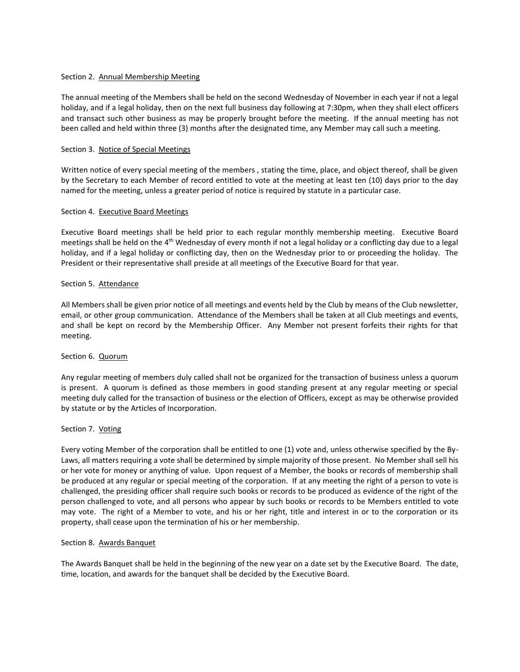# Section 2. Annual Membership Meeting

The annual meeting of the Members shall be held on the second Wednesday of November in each year if not a legal holiday, and if a legal holiday, then on the next full business day following at 7:30pm, when they shall elect officers and transact such other business as may be properly brought before the meeting. If the annual meeting has not been called and held within three (3) months after the designated time, any Member may call such a meeting.

# Section 3. Notice of Special Meetings

Written notice of every special meeting of the members , stating the time, place, and object thereof, shall be given by the Secretary to each Member of record entitled to vote at the meeting at least ten (10) days prior to the day named for the meeting, unless a greater period of notice is required by statute in a particular case.

# Section 4. Executive Board Meetings

Executive Board meetings shall be held prior to each regular monthly membership meeting. Executive Board meetings shall be held on the 4<sup>th</sup> Wednesday of every month if not a legal holiday or a conflicting day due to a legal holiday, and if a legal holiday or conflicting day, then on the Wednesday prior to or proceeding the holiday. The President or their representative shall preside at all meetings of the Executive Board for that year.

### Section 5. Attendance

All Members shall be given prior notice of all meetings and events held by the Club by means of the Club newsletter, email, or other group communication. Attendance of the Members shall be taken at all Club meetings and events, and shall be kept on record by the Membership Officer. Any Member not present forfeits their rights for that meeting.

### Section 6. Quorum

Any regular meeting of members duly called shall not be organized for the transaction of business unless a quorum is present. A quorum is defined as those members in good standing present at any regular meeting or special meeting duly called for the transaction of business or the election of Officers, except as may be otherwise provided by statute or by the Articles of Incorporation.

### Section 7. Voting

Every voting Member of the corporation shall be entitled to one (1) vote and, unless otherwise specified by the By-Laws, all matters requiring a vote shall be determined by simple majority of those present. No Member shall sell his or her vote for money or anything of value. Upon request of a Member, the books or records of membership shall be produced at any regular or special meeting of the corporation. If at any meeting the right of a person to vote is challenged, the presiding officer shall require such books or records to be produced as evidence of the right of the person challenged to vote, and all persons who appear by such books or records to be Members entitled to vote may vote. The right of a Member to vote, and his or her right, title and interest in or to the corporation or its property, shall cease upon the termination of his or her membership.

### Section 8. Awards Banquet

The Awards Banquet shall be held in the beginning of the new year on a date set by the Executive Board. The date, time, location, and awards for the banquet shall be decided by the Executive Board.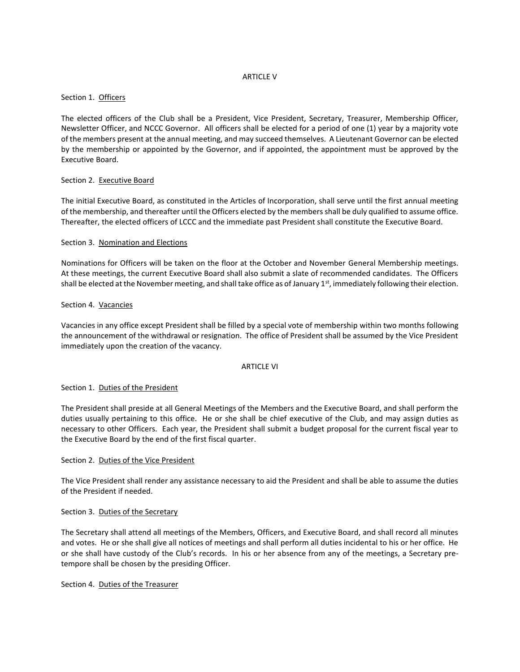### ARTICLE V

# Section 1. Officers

The elected officers of the Club shall be a President, Vice President, Secretary, Treasurer, Membership Officer, Newsletter Officer, and NCCC Governor. All officers shall be elected for a period of one (1) year by a majority vote of the members present at the annual meeting, and may succeed themselves. A Lieutenant Governor can be elected by the membership or appointed by the Governor, and if appointed, the appointment must be approved by the Executive Board.

# Section 2. Executive Board

The initial Executive Board, as constituted in the Articles of Incorporation, shall serve until the first annual meeting of the membership, and thereafter until the Officers elected by the members shall be duly qualified to assume office. Thereafter, the elected officers of LCCC and the immediate past President shall constitute the Executive Board.

# Section 3. Nomination and Elections

Nominations for Officers will be taken on the floor at the October and November General Membership meetings. At these meetings, the current Executive Board shall also submit a slate of recommended candidates. The Officers shall be elected at the November meeting, and shall take office as of January  $1<sup>st</sup>$ , immediately following their election.

# Section 4. Vacancies

Vacancies in any office except President shall be filled by a special vote of membership within two months following the announcement of the withdrawal or resignation. The office of President shall be assumed by the Vice President immediately upon the creation of the vacancy.

### ARTICLE VI

### Section 1. Duties of the President

The President shall preside at all General Meetings of the Members and the Executive Board, and shall perform the duties usually pertaining to this office. He or she shall be chief executive of the Club, and may assign duties as necessary to other Officers. Each year, the President shall submit a budget proposal for the current fiscal year to the Executive Board by the end of the first fiscal quarter.

### Section 2. Duties of the Vice President

The Vice President shall render any assistance necessary to aid the President and shall be able to assume the duties of the President if needed.

### Section 3. Duties of the Secretary

The Secretary shall attend all meetings of the Members, Officers, and Executive Board, and shall record all minutes and votes. He or she shall give all notices of meetings and shall perform all duties incidental to his or her office. He or she shall have custody of the Club's records. In his or her absence from any of the meetings, a Secretary pretempore shall be chosen by the presiding Officer.

Section 4. Duties of the Treasurer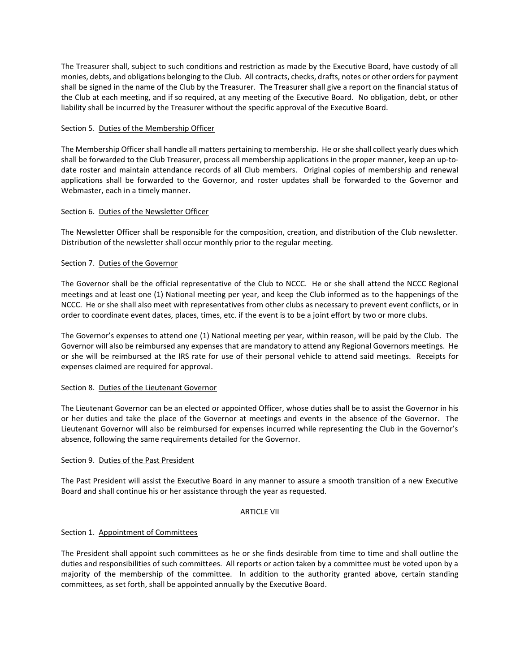The Treasurer shall, subject to such conditions and restriction as made by the Executive Board, have custody of all monies, debts, and obligations belonging to the Club. All contracts, checks, drafts, notes or other orders for payment shall be signed in the name of the Club by the Treasurer. The Treasurer shall give a report on the financial status of the Club at each meeting, and if so required, at any meeting of the Executive Board. No obligation, debt, or other liability shall be incurred by the Treasurer without the specific approval of the Executive Board.

# Section 5. Duties of the Membership Officer

The Membership Officer shall handle all matters pertaining to membership. He or she shall collect yearly dues which shall be forwarded to the Club Treasurer, process all membership applications in the proper manner, keep an up-todate roster and maintain attendance records of all Club members. Original copies of membership and renewal applications shall be forwarded to the Governor, and roster updates shall be forwarded to the Governor and Webmaster, each in a timely manner.

# Section 6. Duties of the Newsletter Officer

The Newsletter Officer shall be responsible for the composition, creation, and distribution of the Club newsletter. Distribution of the newsletter shall occur monthly prior to the regular meeting.

# Section 7. Duties of the Governor

The Governor shall be the official representative of the Club to NCCC. He or she shall attend the NCCC Regional meetings and at least one (1) National meeting per year, and keep the Club informed as to the happenings of the NCCC. He or she shall also meet with representatives from other clubs as necessary to prevent event conflicts, or in order to coordinate event dates, places, times, etc. if the event is to be a joint effort by two or more clubs.

The Governor's expenses to attend one (1) National meeting per year, within reason, will be paid by the Club. The Governor will also be reimbursed any expenses that are mandatory to attend any Regional Governors meetings. He or she will be reimbursed at the IRS rate for use of their personal vehicle to attend said meetings. Receipts for expenses claimed are required for approval.

### Section 8. Duties of the Lieutenant Governor

The Lieutenant Governor can be an elected or appointed Officer, whose duties shall be to assist the Governor in his or her duties and take the place of the Governor at meetings and events in the absence of the Governor. The Lieutenant Governor will also be reimbursed for expenses incurred while representing the Club in the Governor's absence, following the same requirements detailed for the Governor.

### Section 9. Duties of the Past President

The Past President will assist the Executive Board in any manner to assure a smooth transition of a new Executive Board and shall continue his or her assistance through the year as requested.

### ARTICLE VII

### Section 1. Appointment of Committees

The President shall appoint such committees as he or she finds desirable from time to time and shall outline the duties and responsibilities of such committees. All reports or action taken by a committee must be voted upon by a majority of the membership of the committee. In addition to the authority granted above, certain standing committees, as set forth, shall be appointed annually by the Executive Board.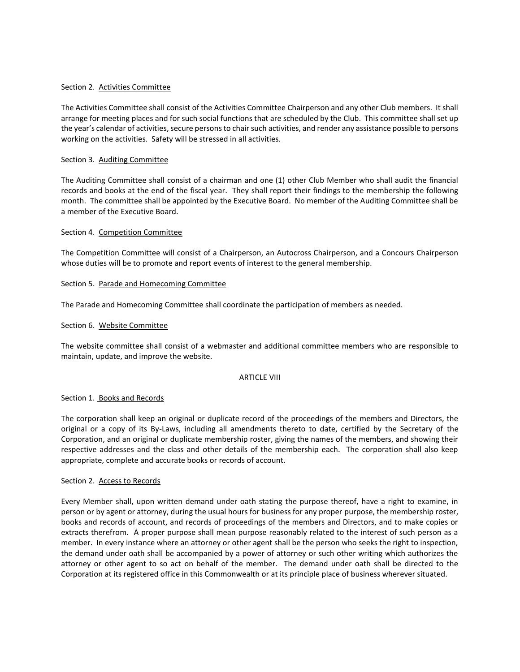### Section 2. Activities Committee

The Activities Committee shall consist of the Activities Committee Chairperson and any other Club members. It shall arrange for meeting places and for such social functions that are scheduled by the Club. This committee shall set up the year's calendar of activities, secure persons to chair such activities, and render any assistance possible to persons working on the activities. Safety will be stressed in all activities.

### Section 3. Auditing Committee

The Auditing Committee shall consist of a chairman and one (1) other Club Member who shall audit the financial records and books at the end of the fiscal year. They shall report their findings to the membership the following month. The committee shall be appointed by the Executive Board. No member of the Auditing Committee shall be a member of the Executive Board.

#### Section 4. Competition Committee

The Competition Committee will consist of a Chairperson, an Autocross Chairperson, and a Concours Chairperson whose duties will be to promote and report events of interest to the general membership.

### Section 5. Parade and Homecoming Committee

The Parade and Homecoming Committee shall coordinate the participation of members as needed.

#### Section 6. Website Committee

The website committee shall consist of a webmaster and additional committee members who are responsible to maintain, update, and improve the website.

### ARTICLE VIII

#### Section 1. Books and Records

The corporation shall keep an original or duplicate record of the proceedings of the members and Directors, the original or a copy of its By-Laws, including all amendments thereto to date, certified by the Secretary of the Corporation, and an original or duplicate membership roster, giving the names of the members, and showing their respective addresses and the class and other details of the membership each. The corporation shall also keep appropriate, complete and accurate books or records of account.

#### Section 2. Access to Records

Every Member shall, upon written demand under oath stating the purpose thereof, have a right to examine, in person or by agent or attorney, during the usual hours for business for any proper purpose, the membership roster, books and records of account, and records of proceedings of the members and Directors, and to make copies or extracts therefrom. A proper purpose shall mean purpose reasonably related to the interest of such person as a member. In every instance where an attorney or other agent shall be the person who seeks the right to inspection, the demand under oath shall be accompanied by a power of attorney or such other writing which authorizes the attorney or other agent to so act on behalf of the member. The demand under oath shall be directed to the Corporation at its registered office in this Commonwealth or at its principle place of business wherever situated.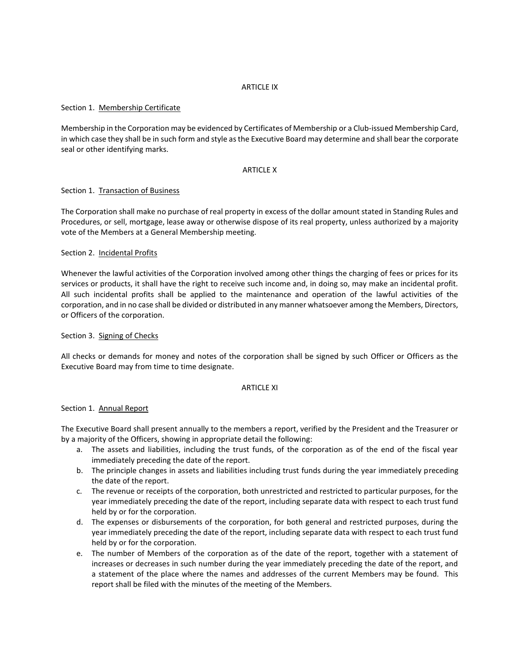## ARTICLE IX

# Section 1. Membership Certificate

Membership in the Corporation may be evidenced by Certificates of Membership or a Club-issued Membership Card, in which case they shall be in such form and style as the Executive Board may determine and shall bear the corporate seal or other identifying marks.

### ARTICLE X

# Section 1. Transaction of Business

The Corporation shall make no purchase of real property in excess of the dollar amount stated in Standing Rules and Procedures, or sell, mortgage, lease away or otherwise dispose of its real property, unless authorized by a majority vote of the Members at a General Membership meeting.

### Section 2. Incidental Profits

Whenever the lawful activities of the Corporation involved among other things the charging of fees or prices for its services or products, it shall have the right to receive such income and, in doing so, may make an incidental profit. All such incidental profits shall be applied to the maintenance and operation of the lawful activities of the corporation, and in no case shall be divided or distributed in any manner whatsoever among the Members, Directors, or Officers of the corporation.

# Section 3. Signing of Checks

All checks or demands for money and notes of the corporation shall be signed by such Officer or Officers as the Executive Board may from time to time designate.

### ARTICLE XI

### Section 1. Annual Report

The Executive Board shall present annually to the members a report, verified by the President and the Treasurer or by a majority of the Officers, showing in appropriate detail the following:

- a. The assets and liabilities, including the trust funds, of the corporation as of the end of the fiscal year immediately preceding the date of the report.
- b. The principle changes in assets and liabilities including trust funds during the year immediately preceding the date of the report.
- c. The revenue or receipts of the corporation, both unrestricted and restricted to particular purposes, for the year immediately preceding the date of the report, including separate data with respect to each trust fund held by or for the corporation.
- d. The expenses or disbursements of the corporation, for both general and restricted purposes, during the year immediately preceding the date of the report, including separate data with respect to each trust fund held by or for the corporation.
- e. The number of Members of the corporation as of the date of the report, together with a statement of increases or decreases in such number during the year immediately preceding the date of the report, and a statement of the place where the names and addresses of the current Members may be found. This report shall be filed with the minutes of the meeting of the Members.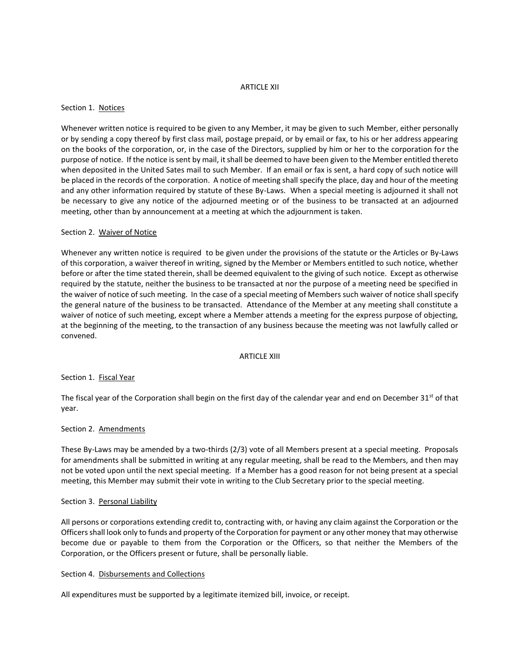### ARTICLE XII

### Section 1. Notices

Whenever written notice is required to be given to any Member, it may be given to such Member, either personally or by sending a copy thereof by first class mail, postage prepaid, or by email or fax, to his or her address appearing on the books of the corporation, or, in the case of the Directors, supplied by him or her to the corporation for the purpose of notice. If the notice is sent by mail, it shall be deemed to have been given to the Member entitled thereto when deposited in the United Sates mail to such Member. If an email or fax is sent, a hard copy of such notice will be placed in the records of the corporation. A notice of meeting shall specify the place, day and hour of the meeting and any other information required by statute of these By-Laws. When a special meeting is adjourned it shall not be necessary to give any notice of the adjourned meeting or of the business to be transacted at an adjourned meeting, other than by announcement at a meeting at which the adjournment is taken.

# Section 2. Waiver of Notice

Whenever any written notice is required to be given under the provisions of the statute or the Articles or By-Laws of this corporation, a waiver thereof in writing, signed by the Member or Members entitled to such notice, whether before or after the time stated therein, shall be deemed equivalent to the giving of such notice. Except as otherwise required by the statute, neither the business to be transacted at nor the purpose of a meeting need be specified in the waiver of notice of such meeting. In the case of a special meeting of Members such waiver of notice shall specify the general nature of the business to be transacted. Attendance of the Member at any meeting shall constitute a waiver of notice of such meeting, except where a Member attends a meeting for the express purpose of objecting, at the beginning of the meeting, to the transaction of any business because the meeting was not lawfully called or convened.

### ARTICLE XIII

## Section 1. Fiscal Year

The fiscal year of the Corporation shall begin on the first day of the calendar year and end on December 31 $^{\rm st}$  of that year.

### Section 2. Amendments

These By-Laws may be amended by a two-thirds (2/3) vote of all Members present at a special meeting. Proposals for amendments shall be submitted in writing at any regular meeting, shall be read to the Members, and then may not be voted upon until the next special meeting. If a Member has a good reason for not being present at a special meeting, this Member may submit their vote in writing to the Club Secretary prior to the special meeting.

### Section 3. Personal Liability

All persons or corporations extending credit to, contracting with, or having any claim against the Corporation or the Officers shall look only to funds and property of the Corporation for payment or any other money that may otherwise become due or payable to them from the Corporation or the Officers, so that neither the Members of the Corporation, or the Officers present or future, shall be personally liable.

### Section 4. Disbursements and Collections

All expenditures must be supported by a legitimate itemized bill, invoice, or receipt.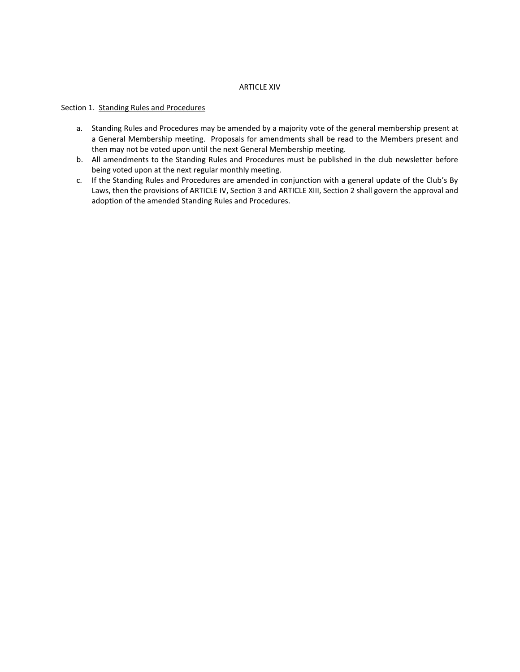### ARTICLE XIV

# Section 1. Standing Rules and Procedures

- a. Standing Rules and Procedures may be amended by a majority vote of the general membership present at a General Membership meeting. Proposals for amendments shall be read to the Members present and then may not be voted upon until the next General Membership meeting.
- b. All amendments to the Standing Rules and Procedures must be published in the club newsletter before being voted upon at the next regular monthly meeting.
- c. If the Standing Rules and Procedures are amended in conjunction with a general update of the Club's By Laws, then the provisions of ARTICLE IV, Section 3 and ARTICLE XIII, Section 2 shall govern the approval and adoption of the amended Standing Rules and Procedures.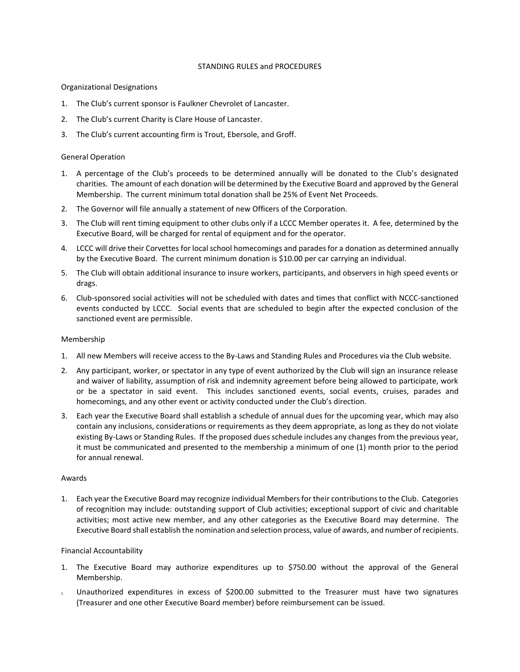## STANDING RULES and PROCEDURES

# Organizational Designations

- 1. The Club's current sponsor is Faulkner Chevrolet of Lancaster.
- 2. The Club's current Charity is Clare House of Lancaster.
- 3. The Club's current accounting firm is Trout, Ebersole, and Groff.

# General Operation

- 1. A percentage of the Club's proceeds to be determined annually will be donated to the Club's designated charities. The amount of each donation will be determined by the Executive Board and approved by the General Membership. The current minimum total donation shall be 25% of Event Net Proceeds.
- 2. The Governor will file annually a statement of new Officers of the Corporation.
- 3. The Club will rent timing equipment to other clubs only if a LCCC Member operates it. A fee, determined by the Executive Board, will be charged for rental of equipment and for the operator.
- 4. LCCC will drive their Corvettes for local school homecomings and parades for a donation as determined annually by the Executive Board. The current minimum donation is \$10.00 per car carrying an individual.
- 5. The Club will obtain additional insurance to insure workers, participants, and observers in high speed events or drags.
- 6. Club-sponsored social activities will not be scheduled with dates and times that conflict with NCCC-sanctioned events conducted by LCCC. Social events that are scheduled to begin after the expected conclusion of the sanctioned event are permissible.

### Membership

- 1. All new Members will receive access to the By-Laws and Standing Rules and Procedures via the Club website.
- 2. Any participant, worker, or spectator in any type of event authorized by the Club will sign an insurance release and waiver of liability, assumption of risk and indemnity agreement before being allowed to participate, work or be a spectator in said event. This includes sanctioned events, social events, cruises, parades and homecomings, and any other event or activity conducted under the Club's direction.
- 3. Each year the Executive Board shall establish a schedule of annual dues for the upcoming year, which may also contain any inclusions, considerations or requirements as they deem appropriate, as long as they do not violate existing By-Laws or Standing Rules. If the proposed dues schedule includes any changes from the previous year, it must be communicated and presented to the membership a minimum of one (1) month prior to the period for annual renewal.

### Awards

1. Each year the Executive Board may recognize individual Members for their contributions to the Club. Categories of recognition may include: outstanding support of Club activities; exceptional support of civic and charitable activities; most active new member, and any other categories as the Executive Board may determine. The Executive Board shall establish the nomination and selection process, value of awards, and number of recipients.

### Financial Accountability

- 1. The Executive Board may authorize expenditures up to \$750.00 without the approval of the General Membership.
- 2. Unauthorized expenditures in excess of \$200.00 submitted to the Treasurer must have two signatures (Treasurer and one other Executive Board member) before reimbursement can be issued.